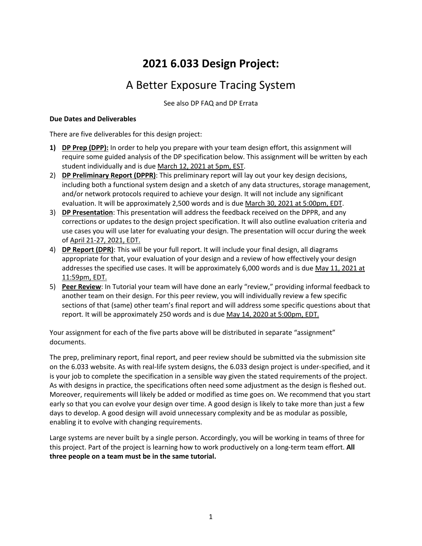# **2021 6.033 Design Project:**

# A Better Exposure Tracing System

See also DP FAQ and DP Errata

#### **Due Dates and Deliverables**

There are five deliverables for this design project:

- **1) DP Prep (DPP):** In order to help you prepare with your team design effort, this assignment will require some guided analysis of the DP specification below. This assignment will be written by each student individually and is due March 12, 2021 at 5pm, EST.
- 2) **DP Preliminary Report (DPPR)**: This preliminary report will lay out your key design decisions, including both a functional system design and a sketch of any data structures, storage management, and/or network protocols required to achieve your design. It will not include any significant evaluation. It will be approximately 2,500 words and is due March 30, 2021 at 5:00pm, EDT.
- 3) **DP Presentation**: This presentation will address the feedback received on the DPPR, and any corrections or updates to the design project specification. It will also outline evaluation criteria and use cases you will use later for evaluating your design. The presentation will occur during the week of April 21-27, 2021, EDT.
- 4) **DP Report (DPR)**: This will be your full report. It will include your final design, all diagrams appropriate for that, your evaluation of your design and a review of how effectively your design addresses the specified use cases. It will be approximately 6,000 words and is due May 11, 2021 at 11:59pm, EDT.
- 5) **Peer Review**: In Tutorial your team will have done an early "review," providing informal feedback to another team on their design. For this peer review, you will individually review a few specific sections of that (same) other team's final report and will address some specific questions about that report. It will be approximately 250 words and is due May 14, 2020 at 5:00pm, EDT.

Your assignment for each of the five parts above will be distributed in separate "assignment" documents.

The prep, preliminary report, final report, and peer review should be submitted via the submission site on the 6.033 website. As with real-life system designs, the 6.033 design project is under-specified, and it is your job to complete the specification in a sensible way given the stated requirements of the project. As with designs in practice, the specifications often need some adjustment as the design is fleshed out. Moreover, requirements will likely be added or modified as time goes on. We recommend that you start early so that you can evolve your design over time. A good design is likely to take more than just a few days to develop. A good design will avoid unnecessary complexity and be as modular as possible, enabling it to evolve with changing requirements.

Large systems are never built by a single person. Accordingly, you will be working in teams of three for this project. Part of the project is learning how to work productively on a long-term team effort. **All three people on a team must be in the same tutorial.**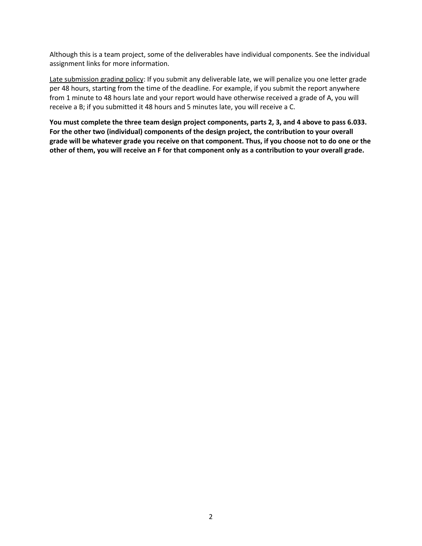Although this is a team project, some of the deliverables have individual components. See the individual assignment links for more information.

Late submission grading policy: If you submit any deliverable late, we will penalize you one letter grade per 48 hours, starting from the time of the deadline. For example, if you submit the report anywhere from 1 minute to 48 hours late and your report would have otherwise received a grade of A, you will receive a B; if you submitted it 48 hours and 5 minutes late, you will receive a C.

**You must complete the three team design project components, parts 2, 3, and 4 above to pass 6.033. For the other two (individual) components of the design project, the contribution to your overall grade will be whatever grade you receive on that component. Thus, if you choose not to do one or the other of them, you will receive an F for that component only as a contribution to your overall grade.**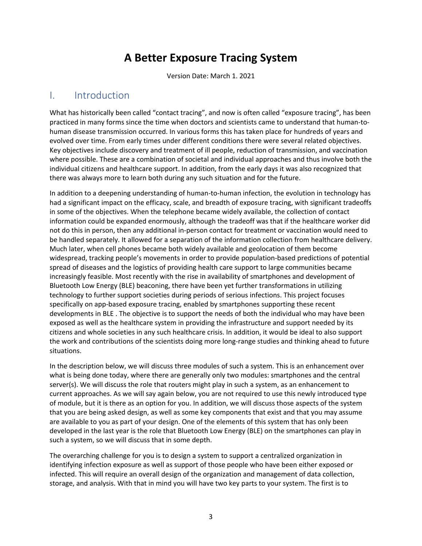# **A Better Exposure Tracing System**

Version Date: March 1. 2021

### I. Introduction

What has historically been called "contact tracing", and now is often called "exposure tracing", has been practiced in many forms since the time when doctors and scientists came to understand that human-tohuman disease transmission occurred. In various forms this has taken place for hundreds of years and evolved over time. From early times under different conditions there were several related objectives. Key objectives include discovery and treatment of ill people, reduction of transmission, and vaccination where possible. These are a combination of societal and individual approaches and thus involve both the individual citizens and healthcare support. In addition, from the early days it was also recognized that there was always more to learn both during any such situation and for the future.

In addition to a deepening understanding of human-to-human infection, the evolution in technology has had a significant impact on the efficacy, scale, and breadth of exposure tracing, with significant tradeoffs in some of the objectives. When the telephone became widely available, the collection of contact information could be expanded enormously, although the tradeoff was that if the healthcare worker did not do this in person, then any additional in-person contact for treatment or vaccination would need to be handled separately. It allowed for a separation of the information collection from healthcare delivery. Much later, when cell phones became both widely available and geolocation of them become widespread, tracking people's movements in order to provide population-based predictions of potential spread of diseases and the logistics of providing health care support to large communities became increasingly feasible. Most recently with the rise in availability of smartphones and development of Bluetooth Low Energy (BLE) beaconing, there have been yet further transformations in utilizing technology to further support societies during periods of serious infections. This project focuses specifically on app-based exposure tracing, enabled by smartphones supporting these recent developments in BLE . The objective is to support the needs of both the individual who may have been exposed as well as the healthcare system in providing the infrastructure and support needed by its citizens and whole societies in any such healthcare crisis. In addition, it would be ideal to also support the work and contributions of the scientists doing more long-range studies and thinking ahead to future situations.

In the description below, we will discuss three modules of such a system. This is an enhancement over what is being done today, where there are generally only two modules: smartphones and the central server(s). We will discuss the role that routers might play in such a system, as an enhancement to current approaches. As we will say again below, you are not required to use this newly introduced type of module, but it is there as an option for you. In addition, we will discuss those aspects of the system that you are being asked design, as well as some key components that exist and that you may assume are available to you as part of your design. One of the elements of this system that has only been developed in the last year is the role that Bluetooth Low Energy (BLE) on the smartphones can play in such a system, so we will discuss that in some depth.

The overarching challenge for you is to design a system to support a centralized organization in identifying infection exposure as well as support of those people who have been either exposed or infected. This will require an overall design of the organization and management of data collection, storage, and analysis. With that in mind you will have two key parts to your system. The first is to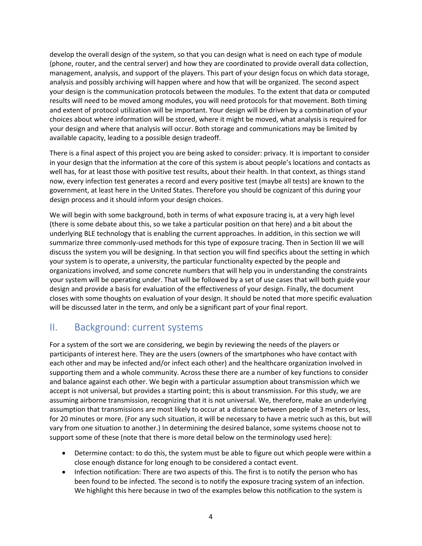develop the overall design of the system, so that you can design what is need on each type of module (phone, router, and the central server) and how they are coordinated to provide overall data collection, management, analysis, and support of the players. This part of your design focus on which data storage, analysis and possibly archiving will happen where and how that will be organized. The second aspect your design is the communication protocols between the modules. To the extent that data or computed results will need to be moved among modules, you will need protocols for that movement. Both timing and extent of protocol utilization will be important. Your design will be driven by a combination of your choices about where information will be stored, where it might be moved, what analysis is required for your design and where that analysis will occur. Both storage and communications may be limited by available capacity, leading to a possible design tradeoff.

There is a final aspect of this project you are being asked to consider: privacy. It is important to consider in your design that the information at the core of this system is about people's locations and contacts as well has, for at least those with positive test results, about their health. In that context, as things stand now, every infection test generates a record and every positive test (maybe all tests) are known to the government, at least here in the United States. Therefore you should be cognizant of this during your design process and it should inform your design choices.

We will begin with some background, both in terms of what exposure tracing is, at a very high level (there is some debate about this, so we take a particular position on that here) and a bit about the underlying BLE technology that is enabling the current approaches. In addition, in this section we will summarize three commonly-used methods for this type of exposure tracing. Then in Section III we will discuss the system you will be designing. In that section you will find specifics about the setting in which your system is to operate, a university, the particular functionality expected by the people and organizations involved, and some concrete numbers that will help you in understanding the constraints your system will be operating under. That will be followed by a set of use cases that will both guide your design and provide a basis for evaluation of the effectiveness of your design. Finally, the document closes with some thoughts on evaluation of your design. It should be noted that more specific evaluation will be discussed later in the term, and only be a significant part of your final report.

## II. Background: current systems

For a system of the sort we are considering, we begin by reviewing the needs of the players or participants of interest here. They are the users (owners of the smartphones who have contact with each other and may be infected and/or infect each other) and the healthcare organization involved in supporting them and a whole community. Across these there are a number of key functions to consider and balance against each other. We begin with a particular assumption about transmission which we accept is not universal, but provides a starting point; this is about transmission. For this study, we are assuming airborne transmission, recognizing that it is not universal. We, therefore, make an underlying assumption that transmissions are most likely to occur at a distance between people of 3 meters or less, for 20 minutes or more. (For any such situation, it will be necessary to have a metric such as this, but will vary from one situation to another.) In determining the desired balance, some systems choose not to support some of these (note that there is more detail below on the terminology used here):

- Determine contact: to do this, the system must be able to figure out which people were within a close enough distance for long enough to be considered a contact event.
- Infection notification: There are two aspects of this. The first is to notify the person who has been found to be infected. The second is to notify the exposure tracing system of an infection. We highlight this here because in two of the examples below this notification to the system is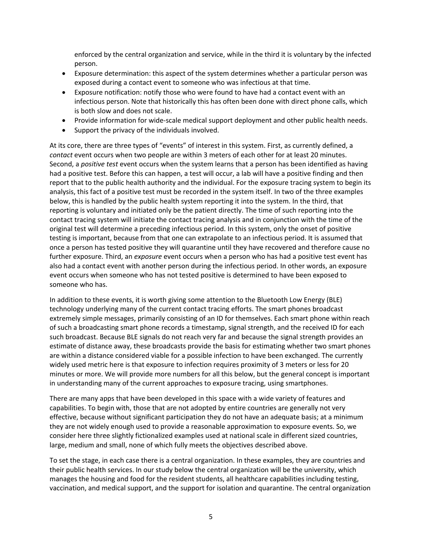enforced by the central organization and service, while in the third it is voluntary by the infected person.

- Exposure determination: this aspect of the system determines whether a particular person was exposed during a contact event to someone who was infectious at that time.
- Exposure notification: notify those who were found to have had a contact event with an infectious person. Note that historically this has often been done with direct phone calls, which is both slow and does not scale.
- Provide information for wide-scale medical support deployment and other public health needs.
- Support the privacy of the individuals involved.

At its core, there are three types of "events" of interest in this system. First, as currently defined, a *contact* event occurs when two people are within 3 meters of each other for at least 20 minutes. Second, a *positive test* event occurs when the system learns that a person has been identified as having had a positive test. Before this can happen, a test will occur, a lab will have a positive finding and then report that to the public health authority and the individual. For the exposure tracing system to begin its analysis, this fact of a positive test must be recorded in the system itself. In two of the three examples below, this is handled by the public health system reporting it into the system. In the third, that reporting is voluntary and initiated only be the patient directly. The time of such reporting into the contact tracing system will initiate the contact tracing analysis and in conjunction with the time of the original test will determine a preceding infectious period. In this system, only the onset of positive testing is important, because from that one can extrapolate to an infectious period. It is assumed that once a person has tested positive they will quarantine until they have recovered and therefore cause no further exposure. Third, an *exposure* event occurs when a person who has had a positive test event has also had a contact event with another person during the infectious period. In other words, an exposure event occurs when someone who has not tested positive is determined to have been exposed to someone who has.

In addition to these events, it is worth giving some attention to the Bluetooth Low Energy (BLE) technology underlying many of the current contact tracing efforts. The smart phones broadcast extremely simple messages, primarily consisting of an ID for themselves. Each smart phone within reach of such a broadcasting smart phone records a timestamp, signal strength, and the received ID for each such broadcast. Because BLE signals do not reach very far and because the signal strength provides an estimate of distance away, these broadcasts provide the basis for estimating whether two smart phones are within a distance considered viable for a possible infection to have been exchanged. The currently widely used metric here is that exposure to infection requires proximity of 3 meters or less for 20 minutes or more. We will provide more numbers for all this below, but the general concept is important in understanding many of the current approaches to exposure tracing, using smartphones.

There are many apps that have been developed in this space with a wide variety of features and capabilities. To begin with, those that are not adopted by entire countries are generally not very effective, because without significant participation they do not have an adequate basis; at a minimum they are not widely enough used to provide a reasonable approximation to exposure events. So, we consider here three slightly fictionalized examples used at national scale in different sized countries, large, medium and small, none of which fully meets the objectives described above.

To set the stage, in each case there is a central organization. In these examples, they are countries and their public health services. In our study below the central organization will be the university, which manages the housing and food for the resident students, all healthcare capabilities including testing, vaccination, and medical support, and the support for isolation and quarantine. The central organization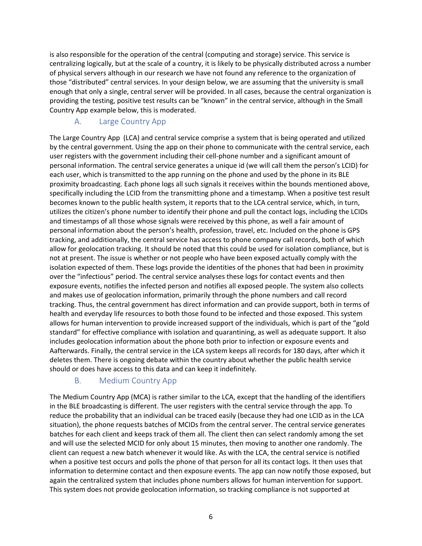is also responsible for the operation of the central (computing and storage) service. This service is centralizing logically, but at the scale of a country, it is likely to be physically distributed across a number of physical servers although in our research we have not found any reference to the organization of those "distributed" central services. In your design below, we are assuming that the university is small enough that only a single, central server will be provided. In all cases, because the central organization is providing the testing, positive test results can be "known" in the central service, although in the Small Country App example below, this is moderated.

## A. Large Country App

The Large Country App (LCA) and central service comprise a system that is being operated and utilized by the central government. Using the app on their phone to communicate with the central service, each user registers with the government including their cell-phone number and a significant amount of personal information. The central service generates a unique id (we will call them the person's LCID) for each user, which is transmitted to the app running on the phone and used by the phone in its BLE proximity broadcasting. Each phone logs all such signals it receives within the bounds mentioned above, specifically including the LCID from the transmitting phone and a timestamp. When a positive test result becomes known to the public health system, it reports that to the LCA central service, which, in turn, utilizes the citizen's phone number to identify their phone and pull the contact logs, including the LCIDs and timestamps of all those whose signals were received by this phone, as well a fair amount of personal information about the person's health, profession, travel, etc. Included on the phone is GPS tracking, and additionally, the central service has access to phone company call records, both of which allow for geolocation tracking. It should be noted that this could be used for isolation compliance, but is not at present. The issue is whether or not people who have been exposed actually comply with the isolation expected of them. These logs provide the identities of the phones that had been in proximity over the "infectious" period. The central service analyses these logs for contact events and then exposure events, notifies the infected person and notifies all exposed people. The system also collects and makes use of geolocation information, primarily through the phone numbers and call record tracking. Thus, the central government has direct information and can provide support, both in terms of health and everyday life resources to both those found to be infected and those exposed. This system allows for human intervention to provide increased support of the individuals, which is part of the "gold standard" for effective compliance with isolation and quarantining, as well as adequate support. It also includes geolocation information about the phone both prior to infection or exposure events and Aafterwards. Finally, the central service in the LCA system keeps all records for 180 days, after which it deletes them. There is ongoing debate within the country about whether the public health service should or does have access to this data and can keep it indefinitely.

## B. Medium Country App

The Medium Country App (MCA) is rather similar to the LCA, except that the handling of the identifiers in the BLE broadcasting is different. The user registers with the central service through the app. To reduce the probability that an individual can be traced easily (because they had one LCID as in the LCA situation), the phone requests batches of MCIDs from the central server. The central service generates batches for each client and keeps track of them all. The client then can select randomly among the set and will use the selected MCID for only about 15 minutes, then moving to another one randomly. The client can request a new batch whenever it would like. As with the LCA, the central service is notified when a positive test occurs and polls the phone of that person for all its contact logs. It then uses that information to determine contact and then exposure events. The app can now notify those exposed, but again the centralized system that includes phone numbers allows for human intervention for support. This system does not provide geolocation information, so tracking compliance is not supported at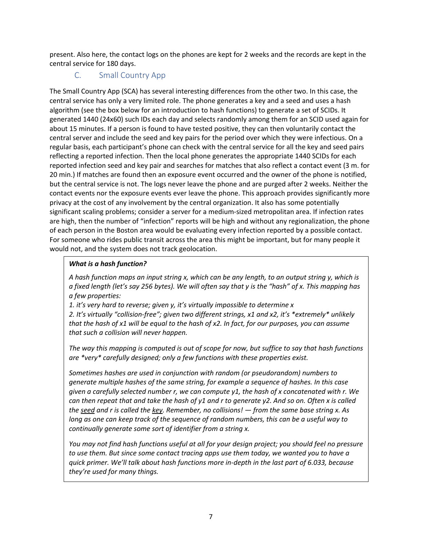present. Also here, the contact logs on the phones are kept for 2 weeks and the records are kept in the central service for 180 days.

### C. Small Country App

The Small Country App (SCA) has several interesting differences from the other two. In this case, the central service has only a very limited role. The phone generates a key and a seed and uses a hash algorithm (see the box below for an introduction to hash functions) to generate a set of SCIDs. It generated 1440 (24x60) such IDs each day and selects randomly among them for an SCID used again for about 15 minutes. If a person is found to have tested positive, they can then voluntarily contact the central server and include the seed and key pairs for the period over which they were infectious. On a regular basis, each participant's phone can check with the central service for all the key and seed pairs reflecting a reported infection. Then the local phone generates the appropriate 1440 SCIDs for each reported infection seed and key pair and searches for matches that also reflect a contact event (3 m. for 20 min.) If matches are found then an exposure event occurred and the owner of the phone is notified, but the central service is not. The logs never leave the phone and are purged after 2 weeks. Neither the contact events nor the exposure events ever leave the phone. This approach provides significantly more privacy at the cost of any involvement by the central organization. It also has some potentially significant scaling problems; consider a server for a medium-sized metropolitan area. If infection rates are high, then the number of "infection" reports will be high and without any regionalization, the phone of each person in the Boston area would be evaluating every infection reported by a possible contact. For someone who rides public transit across the area this might be important, but for many people it would not, and the system does not track geolocation.

#### *What is a hash function?*

*A hash function maps an input string x, which can be any length, to an output string y, which is a fixed length (let's say 256 bytes). We will often say that y is the "hash" of x. This mapping has a few properties:*

*1. it's very hard to reverse; given y, it's virtually impossible to determine x*

*2. It's virtually "collision-free"; given two different strings, x1 and x2, it's \*extremely\* unlikely that the hash of x1 will be equal to the hash of x2. In fact, for our purposes, you can assume that such a collision will never happen.*

*The way this mapping is computed is out of scope for now, but suffice to say that hash functions are \*very\* carefully designed; only a few functions with these properties exist.*

*Sometimes hashes are used in conjunction with random (or pseudorandom) numbers to generate multiple hashes of the same string, for example a sequence of hashes. In this case given a carefully selected number r, we can compute y1, the hash of x concatenated with r. We can then repeat that and take the hash of y1 and r to generate y2. And so on. Often x is called the seed and r is called the key. Remember, no collisions! — from the same base string x. As long as one can keep track of the sequence of random numbers, this can be a useful way to continually generate some sort of identifier from a string x.*

*You may not find hash functions useful at all for your design project; you should feel no pressure to use them. But since some contact tracing apps use them today, we wanted you to have a quick primer. We'll talk about hash functions more in-depth in the last part of 6.033, because they're used for many things.*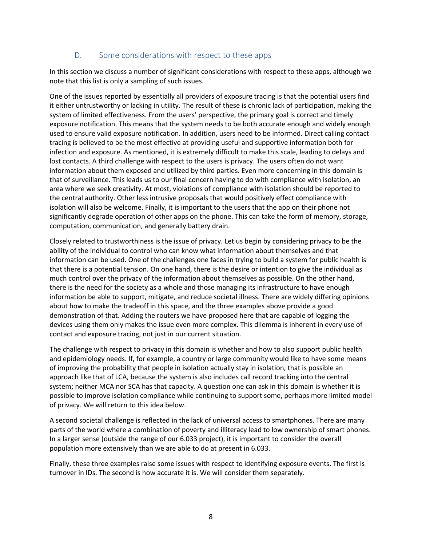#### D. Some considerations with respect to these apps

In this section we discuss a number of significant considerations with respect to these apps, although we note that this list is only a sampling of such issues.

One of the issues reported by essentially all providers of exposure tracing is that the potential users find it either untrustworthy or lacking in utility. The result of these is chronic lack of participation, making the system of limited effectiveness. From the users' perspective, the primary goal is correct and timely exposure notification. This means that the system needs to be both accurate enough and widely enough used to ensure valid exposure notification. In addition, users need to be informed. Direct calling contact tracing is believed to be the most effective at providing useful and supportive information both for infection and exposure. As mentioned, it is extremely difficult to make this scale, leading to delays and lost contacts. A third challenge with respect to the users is privacy. The users often do not want information about them exposed and utilized by third parties. Even more concerning in this domain is that of surveillance. This leads us to our final concern having to do with compliance with isolation, an area where we seek creativity. At most, violations of compliance with isolation should be reported to the central authority. Other less intrusive proposals that would positively effect compliance with isolation will also be welcome. Finally, it is important to the users that the app on their phone not significantly degrade operation of other apps on the phone. This can take the form of memory, storage, computation, communication, and generally battery drain.

Closely related to trustworthiness is the issue of privacy. Let us begin by considering privacy to be the ability of the individual to control who can know what information about themselves and that information can be used. One of the challenges one faces in trying to build a system for public health is that there is a potential tension. On one hand, there is the desire or intention to give the individual as much control over the privacy of the information about themselves as possible. On the other hand, there is the need for the society as a whole and those managing its infrastructure to have enough information be able to support, mitigate, and reduce societal illness. There are widely differing opinions about how to make the tradeoff in this space, and the three examples above provide a good demonstration of that. Adding the routers we have proposed here that are capable of logging the devices using them only makes the issue even more complex. This dilemma is inherent in every use of contact and exposure tracing, not just in our current situation.

The challenge with respect to privacy in this domain is whether and how to also support public health and epidemiology needs. If, for example, a country or large community would like to have some means of improving the probability that people in isolation actually stay in isolation, that is possible an approach like that of LCA, because the system is also includes call record tracking into the central system; neither MCA nor SCA has that capacity. A question one can ask in this domain is whether it is possible to improve isolation compliance while continuing to support some, perhaps more limited model of privacy. We will return to this idea below.

A second societal challenge is reflected in the lack of universal access to smartphones. There are many parts of the world where a combination of poverty and illiteracy lead to low ownership of smart phones. In a larger sense (outside the range of our 6.033 project), it is important to consider the overall population more extensively than we are able to do at present in 6.033.

Finally, these three examples raise some issues with respect to identifying exposure events. The first is turnover in IDs. The second is how accurate it is. We will consider them separately.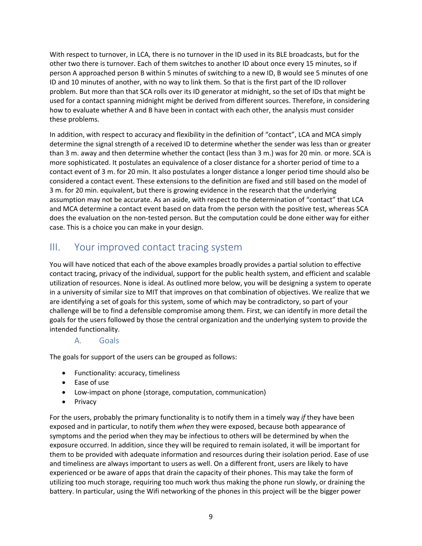With respect to turnover, in LCA, there is no turnover in the ID used in its BLE broadcasts, but for the other two there is turnover. Each of them switches to another ID about once every 15 minutes, so if person A approached person B within 5 minutes of switching to a new ID, B would see 5 minutes of one ID and 10 minutes of another, with no way to link them. So that is the first part of the ID rollover problem. But more than that SCA rolls over its ID generator at midnight, so the set of IDs that might be used for a contact spanning midnight might be derived from different sources. Therefore, in considering how to evaluate whether A and B have been in contact with each other, the analysis must consider these problems.

In addition, with respect to accuracy and flexibility in the definition of "contact", LCA and MCA simply determine the signal strength of a received ID to determine whether the sender was less than or greater than 3 m. away and then determine whether the contact (less than 3 m.) was for 20 min. or more. SCA is more sophisticated. It postulates an equivalence of a closer distance for a shorter period of time to a contact event of 3 m. for 20 min. It also postulates a longer distance a longer period time should also be considered a contact event. These extensions to the definition are fixed and still based on the model of 3 m. for 20 min. equivalent, but there is growing evidence in the research that the underlying assumption may not be accurate. As an aside, with respect to the determination of "contact" that LCA and MCA determine a contact event based on data from the person with the positive test, whereas SCA does the evaluation on the non-tested person. But the computation could be done either way for either case. This is a choice you can make in your design.

## III. Your improved contact tracing system

You will have noticed that each of the above examples broadly provides a partial solution to effective contact tracing, privacy of the individual, support for the public health system, and efficient and scalable utilization of resources. None is ideal. As outlined more below, you will be designing a system to operate in a university of similar size to MIT that improves on that combination of objectives. We realize that we are identifying a set of goals for this system, some of which may be contradictory, so part of your challenge will be to find a defensible compromise among them. First, we can identify in more detail the goals for the users followed by those the central organization and the underlying system to provide the intended functionality.

#### A. Goals

The goals for support of the users can be grouped as follows:

- Functionality: accuracy, timeliness
- Ease of use
- Low-impact on phone (storage, computation, communication)
- Privacy

For the users, probably the primary functionality is to notify them in a timely way *if* they have been exposed and in particular, to notify them *when* they were exposed, because both appearance of symptoms and the period when they may be infectious to others will be determined by when the exposure occurred. In addition, since they will be required to remain isolated, it will be important for them to be provided with adequate information and resources during their isolation period. Ease of use and timeliness are always important to users as well. On a different front, users are likely to have experienced or be aware of apps that drain the capacity of their phones. This may take the form of utilizing too much storage, requiring too much work thus making the phone run slowly, or draining the battery. In particular, using the Wifi networking of the phones in this project will be the bigger power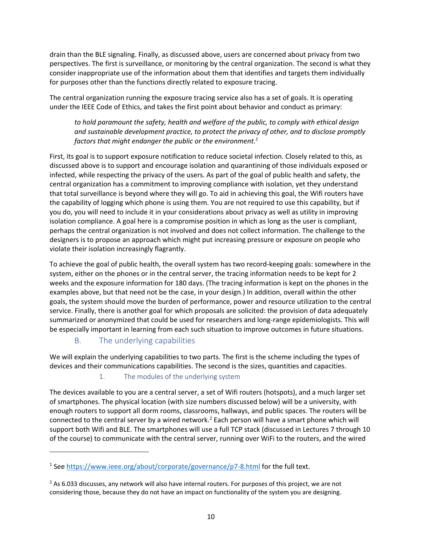drain than the BLE signaling. Finally, as discussed above, users are concerned about privacy from two perspectives. The first is surveillance, or monitoring by the central organization. The second is what they consider inappropriate use of the information about them that identifies and targets them individually for purposes other than the functions directly related to exposure tracing.

The central organization running the exposure tracing service also has a set of goals. It is operating under the IEEE Code of Ethics, and takes the first point about behavior and conduct as primary:

*to hold paramount the safety, health and welfare of the public, to comply with ethical design and sustainable development practice, to protect the privacy of other, and to disclose promptly factors that might endanger the public or the environment.1*

First, its goal is to support exposure notification to reduce societal infection. Closely related to this, as discussed above is to support and encourage isolation and quarantining of those individuals exposed or infected, while respecting the privacy of the users. As part of the goal of public health and safety, the central organization has a commitment to improving compliance with isolation, yet they understand that total surveillance is beyond where they will go. To aid in achieving this goal, the Wifi routers have the capability of logging which phone is using them. You are not required to use this capability, but if you do, you will need to include it in your considerations about privacy as well as utility in improving isolation compliance. A goal here is a compromise position in which as long as the user is compliant, perhaps the central organization is not involved and does not collect information. The challenge to the designers is to propose an approach which might put increasing pressure or exposure on people who violate their isolation increasingly flagrantly.

To achieve the goal of public health, the overall system has two record-keeping goals: somewhere in the system, either on the phones or in the central server, the tracing information needs to be kept for 2 weeks and the exposure information for 180 days. (The tracing information is kept on the phones in the examples above, but that need not be the case, in your design.) In addition, overall within the other goals, the system should move the burden of performance, power and resource utilization to the central service. Finally, there is another goal for which proposals are solicited: the provision of data adequately summarized or anonymized that could be used for researchers and long-range epidemiologists. This will be especially important in learning from each such situation to improve outcomes in future situations.

#### B. The underlying capabilities

We will explain the underlying capabilities to two parts. The first is the scheme including the types of devices and their communications capabilities. The second is the sizes, quantities and capacities.

1. The modules of the underlying system

The devices available to you are a central server, a set of Wifi routers (hotspots), and a much larger set of smartphones. The physical location (with size numbers discussed below) will be a university, with enough routers to support all dorm rooms, classrooms, hallways, and public spaces. The routers will be connected to the central server by a wired network.<sup>2</sup> Each person will have a smart phone which will support both Wifi and BLE. The smartphones will use a full TCP stack (discussed in Lectures 7 through 10 of the course) to communicate with the central server, running over WiFi to the routers, and the wired

<sup>&</sup>lt;sup>1</sup> See https://www.ieee.org/about/corporate/governance/p7-8.html for the full text.

 $2$  As 6.033 discusses, any network will also have internal routers. For purposes of this project, we are not considering those, because they do not have an impact on functionality of the system you are designing.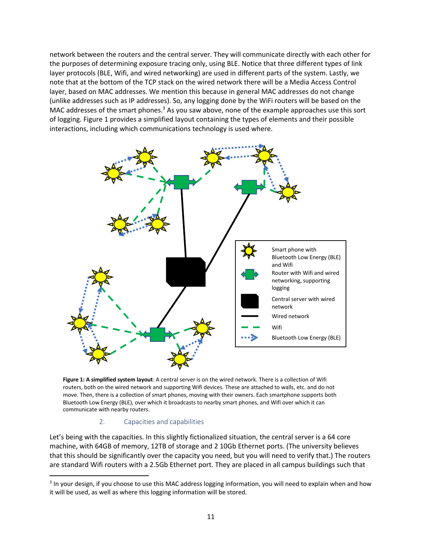network between the routers and the central server. They will communicate directly with each other for the purposes of determining exposure tracing only, using BLE. Notice that three different types of link layer protocols (BLE, Wifi, and wired networking) are used in different parts of the system. Lastly, we note that at the bottom of the TCP stack on the wired network there will be a Media Access Control layer, based on MAC addresses. We mention this because in general MAC addresses do not change (unlike addresses such as IP addresses). So, any logging done by the WiFi routers will be based on the MAC addresses of the smart phones.<sup>3</sup> As you saw above, none of the example approaches use this sort of logging. Figure 1 provides a simplified layout containing the types of elements and their possible interactions, including which communications technology is used where.



**Figure 1: A simplified system layout**: A central server is on the wired network. There is a collection of Wifi routers, both on the wired network and supporting Wifi devices. These are attached to walls, etc. and do not move. Then, there is a collection of smart phones, moving with their owners. Each smartphone supports both Bluetooth Low Energy (BLE), over which it broadcasts to nearby smart phones, and Wifi over which it can communicate with nearby routers.

#### 2. Capacities and capabilities

Let's being with the capacities. In this slightly fictionalized situation, the central server is a 64 core machine, with 64GB of memory, 12TB of storage and 2 10Gb Ethernet ports. (The university believes that this should be significantly over the capacity you need, but you will need to verify that.) The routers are standard Wifi routers with a 2.5Gb Ethernet port. They are placed in all campus buildings such that

<sup>&</sup>lt;sup>3</sup> In your design, if you choose to use this MAC address logging information, you will need to explain when and how it will be used, as well as where this logging information will be stored.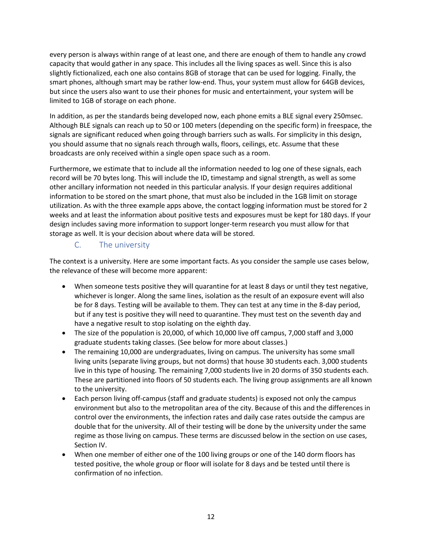every person is always within range of at least one, and there are enough of them to handle any crowd capacity that would gather in any space. This includes all the living spaces as well. Since this is also slightly fictionalized, each one also contains 8GB of storage that can be used for logging. Finally, the smart phones, although smart may be rather low-end. Thus, your system must allow for 64GB devices, but since the users also want to use their phones for music and entertainment, your system will be limited to 1GB of storage on each phone.

In addition, as per the standards being developed now, each phone emits a BLE signal every 250msec. Although BLE signals can reach up to 50 or 100 meters (depending on the specific form) in freespace, the signals are significant reduced when going through barriers such as walls. For simplicity in this design, you should assume that no signals reach through walls, floors, ceilings, etc. Assume that these broadcasts are only received within a single open space such as a room.

Furthermore, we estimate that to include all the information needed to log one of these signals, each record will be 70 bytes long. This will include the ID, timestamp and signal strength, as well as some other ancillary information not needed in this particular analysis. If your design requires additional information to be stored on the smart phone, that must also be included in the 1GB limit on storage utilization. As with the three example apps above, the contact logging information must be stored for 2 weeks and at least the information about positive tests and exposures must be kept for 180 days. If your design includes saving more information to support longer-term research you must allow for that storage as well. It is your decision about where data will be stored.

### C. The university

The context is a university. Here are some important facts. As you consider the sample use cases below, the relevance of these will become more apparent:

- When someone tests positive they will quarantine for at least 8 days or until they test negative, whichever is longer. Along the same lines, isolation as the result of an exposure event will also be for 8 days. Testing will be available to them. They can test at any time in the 8-day period, but if any test is positive they will need to quarantine. They must test on the seventh day and have a negative result to stop isolating on the eighth day.
- The size of the population is 20,000, of which 10,000 live off campus, 7,000 staff and 3,000 graduate students taking classes. (See below for more about classes.)
- The remaining 10,000 are undergraduates, living on campus. The university has some small living units (separate living groups, but not dorms) that house 30 students each. 3,000 students live in this type of housing. The remaining 7,000 students live in 20 dorms of 350 students each. These are partitioned into floors of 50 students each. The living group assignments are all known to the university.
- Each person living off-campus (staff and graduate students) is exposed not only the campus environment but also to the metropolitan area of the city. Because of this and the differences in control over the environments, the infection rates and daily case rates outside the campus are double that for the university. All of their testing will be done by the university under the same regime as those living on campus. These terms are discussed below in the section on use cases, Section IV.
- When one member of either one of the 100 living groups or one of the 140 dorm floors has tested positive, the whole group or floor will isolate for 8 days and be tested until there is confirmation of no infection.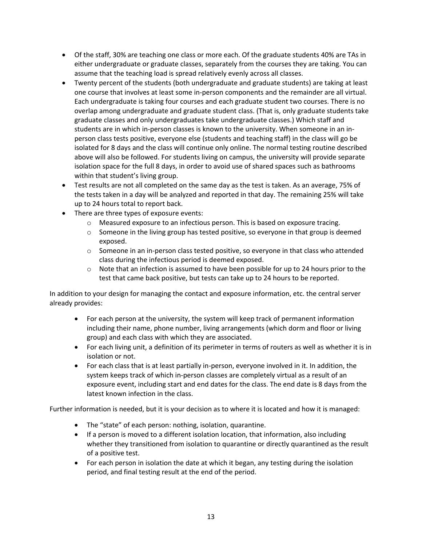- Of the staff, 30% are teaching one class or more each. Of the graduate students 40% are TAs in either undergraduate or graduate classes, separately from the courses they are taking. You can assume that the teaching load is spread relatively evenly across all classes.
- Twenty percent of the students (both undergraduate and graduate students) are taking at least one course that involves at least some in-person components and the remainder are all virtual. Each undergraduate is taking four courses and each graduate student two courses. There is no overlap among undergraduate and graduate student class. (That is, only graduate students take graduate classes and only undergraduates take undergraduate classes.) Which staff and students are in which in-person classes is known to the university. When someone in an inperson class tests positive, everyone else (students and teaching staff) in the class will go be isolated for 8 days and the class will continue only online. The normal testing routine described above will also be followed. For students living on campus, the university will provide separate isolation space for the full 8 days, in order to avoid use of shared spaces such as bathrooms within that student's living group.
- Test results are not all completed on the same day as the test is taken. As an average, 75% of the tests taken in a day will be analyzed and reported in that day. The remaining 25% will take up to 24 hours total to report back.
- There are three types of exposure events:
	- $\circ$  Measured exposure to an infectious person. This is based on exposure tracing.
	- $\circ$  Someone in the living group has tested positive, so everyone in that group is deemed exposed.
	- $\circ$  Someone in an in-person class tested positive, so everyone in that class who attended class during the infectious period is deemed exposed.
	- $\circ$  Note that an infection is assumed to have been possible for up to 24 hours prior to the test that came back positive, but tests can take up to 24 hours to be reported.

In addition to your design for managing the contact and exposure information, etc. the central server already provides:

- For each person at the university, the system will keep track of permanent information including their name, phone number, living arrangements (which dorm and floor or living group) and each class with which they are associated.
- For each living unit, a definition of its perimeter in terms of routers as well as whether it is in isolation or not.
- For each class that is at least partially in-person, everyone involved in it. In addition, the system keeps track of which in-person classes are completely virtual as a result of an exposure event, including start and end dates for the class. The end date is 8 days from the latest known infection in the class.

Further information is needed, but it is your decision as to where it is located and how it is managed:

- The "state" of each person: nothing, isolation, quarantine.
- If a person is moved to a different isolation location, that information, also including whether they transitioned from isolation to quarantine or directly quarantined as the result of a positive test.
- For each person in isolation the date at which it began, any testing during the isolation period, and final testing result at the end of the period.